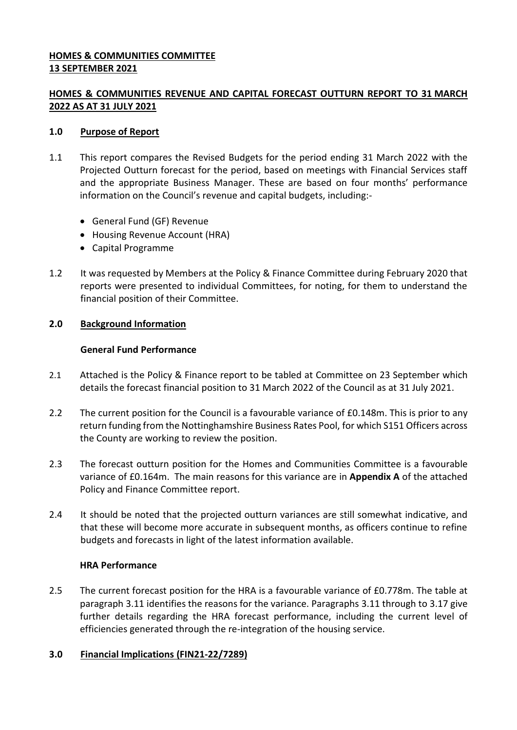## **HOMES & COMMUNITIES COMMITTEE 13 SEPTEMBER 2021**

# **HOMES & COMMUNITIES REVENUE AND CAPITAL FORECAST OUTTURN REPORT TO 31 MARCH 2022 AS AT 31 JULY 2021**

### **1.0 Purpose of Report**

- 1.1 This report compares the Revised Budgets for the period ending 31 March 2022 with the Projected Outturn forecast for the period, based on meetings with Financial Services staff and the appropriate Business Manager. These are based on four months' performance information on the Council's revenue and capital budgets, including:-
	- General Fund (GF) Revenue
	- Housing Revenue Account (HRA)
	- Capital Programme
- 1.2 It was requested by Members at the Policy & Finance Committee during February 2020 that reports were presented to individual Committees, for noting, for them to understand the financial position of their Committee.

### **2.0 Background Information**

### **General Fund Performance**

- 2.1 Attached is the Policy & Finance report to be tabled at Committee on 23 September which details the forecast financial position to 31 March 2022 of the Council as at 31 July 2021.
- 2.2 The current position for the Council is a favourable variance of £0.148m. This is prior to any return funding from the Nottinghamshire Business Rates Pool, for which S151 Officers across the County are working to review the position.
- 2.3 The forecast outturn position for the Homes and Communities Committee is a favourable variance of £0.164m. The main reasons for this variance are in **Appendix A** of the attached Policy and Finance Committee report.
- 2.4 It should be noted that the projected outturn variances are still somewhat indicative, and that these will become more accurate in subsequent months, as officers continue to refine budgets and forecasts in light of the latest information available.

### **HRA Performance**

2.5 The current forecast position for the HRA is a favourable variance of £0.778m. The table at paragraph 3.11 identifies the reasons for the variance. Paragraphs 3.11 through to 3.17 give further details regarding the HRA forecast performance, including the current level of efficiencies generated through the re-integration of the housing service.

#### **3.0 Financial Implications (FIN21-22/7289)**